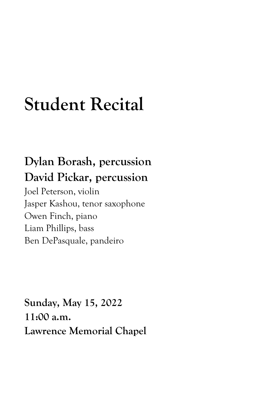# **Student Recital**

## **Dylan Borash, percussion David Pickar, percussion**

Joel Peterson, violin Jasper Kashou, tenor saxophone Owen Finch, piano Liam Phillips, bass Ben DePasquale, pandeiro

**Sunday, May 15, 2022 11:00 a.m. Lawrence Memorial Chapel**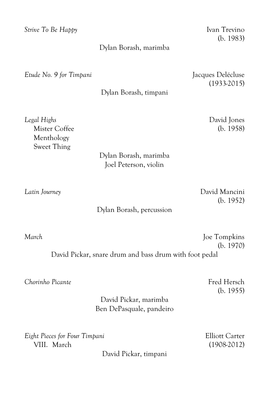*Strive To Be Happy* Ivan Trevino

#### Dylan Borash, marimba

*Etude No. 9 for Timpani* Jacques Delécluse

(1933-2015)

Dylan Borash, timpani

Menthology Sweet Thing

### Dylan Borash, marimba Joel Peterson, violin

(b. 1952)

#### Dylan Borash, percussion

*March* Joe Tompkins (b. 1970) David Pickar, snare drum and bass drum with foot pedal

*Chorinho Picante* Fred Hersch **Fred Hersch** 

(b. 1955)

### David Pickar, marimba Ben DePasquale, pandeiro

*Eight Pieces for Four Timpani* Elliott Carter VIII. March (1908-2012)

David Pickar, timpani

(b. 1983)

*Legal Highs* David Jones Mister Coffee (b. 1958)

*Latin Journey* David Mancini